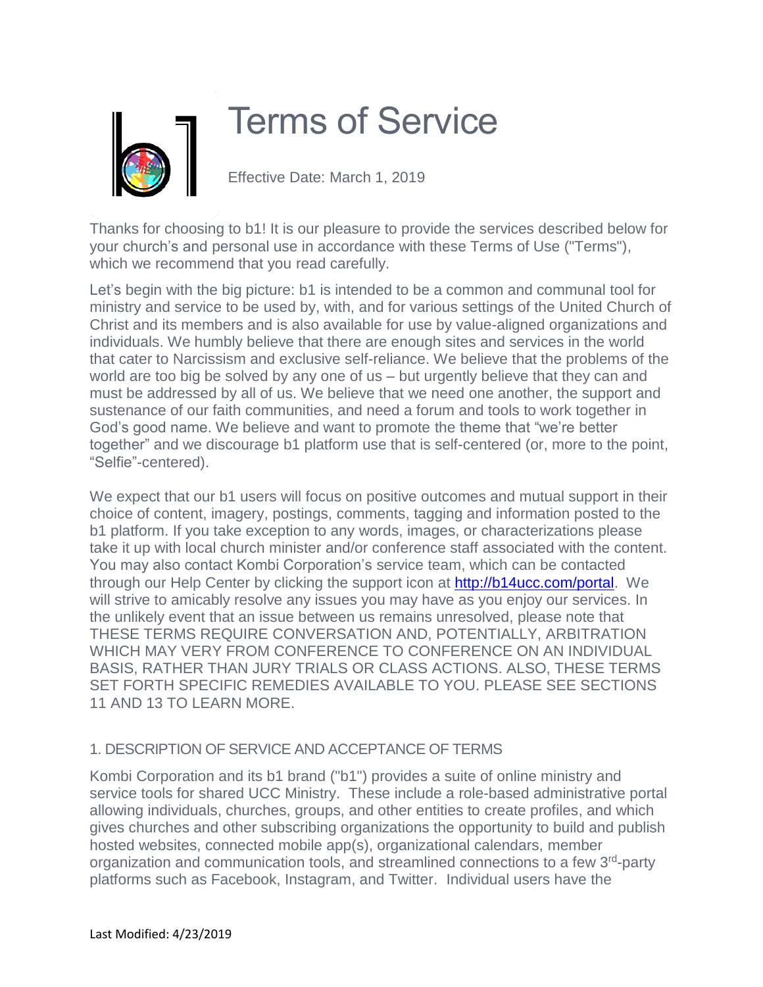

# Terms of Service

Effective Date: March 1, 2019

Thanks for choosing to b1! It is our pleasure to provide the services described below for your church's and personal use in accordance with these Terms of Use ("Terms"), which we recommend that you read carefully.

Let's begin with the big picture: b1 is intended to be a common and communal tool for ministry and service to be used by, with, and for various settings of the United Church of Christ and its members and is also available for use by value-aligned organizations and individuals. We humbly believe that there are enough sites and services in the world that cater to Narcissism and exclusive self-reliance. We believe that the problems of the world are too big be solved by any one of us – but urgently believe that they can and must be addressed by all of us. We believe that we need one another, the support and sustenance of our faith communities, and need a forum and tools to work together in God's good name. We believe and want to promote the theme that "we're better together" and we discourage b1 platform use that is self-centered (or, more to the point, "Selfie"-centered).

We expect that our b1 users will focus on positive outcomes and mutual support in their choice of content, imagery, postings, comments, tagging and information posted to the b1 platform. If you take exception to any words, images, or characterizations please take it up with local church minister and/or conference staff associated with the content. You may also contact Kombi Corporation's service team, which can be contacted through our Help Center by clicking the support icon at [http://b14ucc.com/portal.](http://b14ucc.com/portal) We will strive to amicably resolve any issues you may have as you enjoy our services. In the unlikely event that an issue between us remains unresolved, please note that THESE TERMS REQUIRE CONVERSATION AND, POTENTIALLY, ARBITRATION WHICH MAY VERY FROM CONFERENCE TO CONFERENCE ON AN INDIVIDUAL BASIS, RATHER THAN JURY TRIALS OR CLASS ACTIONS. ALSO, THESE TERMS SET FORTH SPECIFIC REMEDIES AVAILABLE TO YOU. PLEASE SEE SECTIONS 11 AND 13 TO LEARN MORE.

## 1. DESCRIPTION OF SERVICE AND ACCEPTANCE OF TERMS

Kombi Corporation and its b1 brand ("b1") provides a suite of online ministry and service tools for shared UCC Ministry. These include a role-based administrative portal allowing individuals, churches, groups, and other entities to create profiles, and which gives churches and other subscribing organizations the opportunity to build and publish hosted websites, connected mobile app(s), organizational calendars, member organization and communication tools, and streamlined connections to a few 3<sup>rd</sup>-party platforms such as Facebook, Instagram, and Twitter. Individual users have the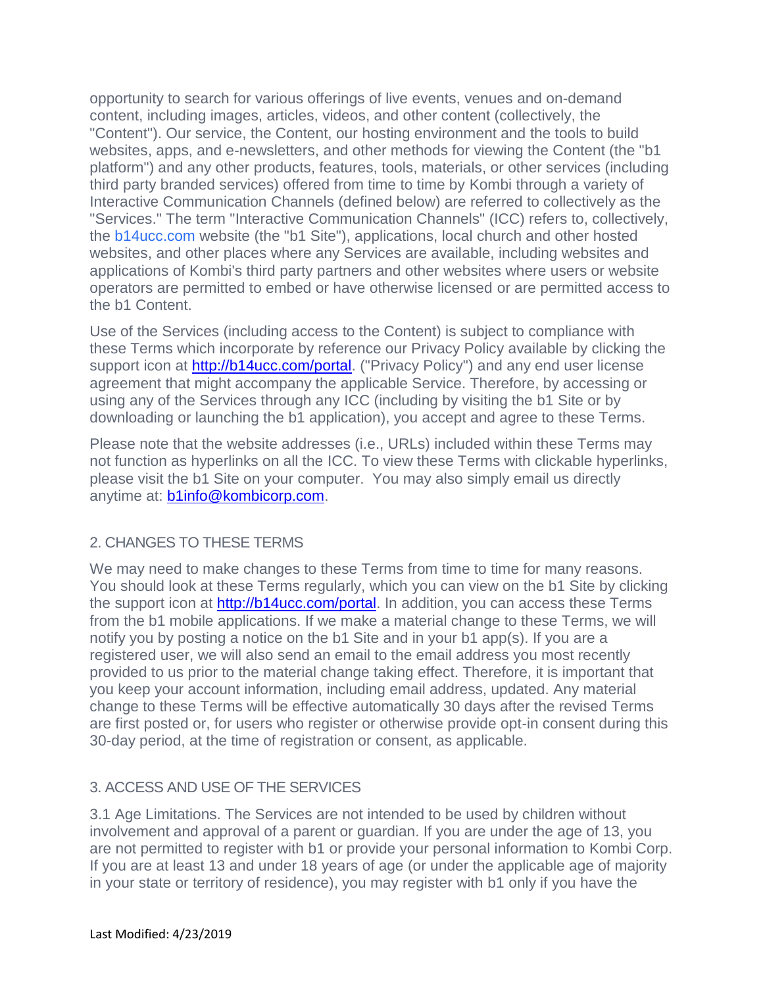opportunity to search for various offerings of live events, venues and on-demand content, including images, articles, videos, and other content (collectively, the "Content"). Our service, the Content, our hosting environment and the tools to build websites, apps, and e-newsletters, and other methods for viewing the Content (the "b1 platform") and any other products, features, tools, materials, or other services (including third party branded services) offered from time to time by Kombi through a variety of Interactive Communication Channels (defined below) are referred to collectively as the "Services." The term "Interactive Communication Channels" (ICC) refers to, collectively, the<b14ucc.com> website (the "b1 Site"), applications, local church and other hosted websites, and other places where any Services are available, including websites and applications of Kombi's third party partners and other websites where users or website operators are permitted to embed or have otherwise licensed or are permitted access to the b1 Content.

Use of the Services (including access to the Content) is subject to compliance with these Terms which incorporate by reference our Privacy Policy available by clicking the support icon at [http://b14ucc.com/portal.](http://b14ucc.com/portal) ("Privacy Policy") and any end user license agreement that might accompany the applicable Service. Therefore, by accessing or using any of the Services through any ICC (including by visiting the b1 Site or by downloading or launching the b1 application), you accept and agree to these Terms.

Please note that the website addresses (i.e., URLs) included within these Terms may not function as hyperlinks on all the ICC. To view these Terms with clickable hyperlinks, please visit the b1 Site on your computer. You may also simply email us directly anytime at: **b1info@kombicorp.com**.

## 2. CHANGES TO THESE TERMS

We may need to make changes to these Terms from time to time for many reasons. You should look at these Terms regularly, which you can view on the b1 Site by clicking the support icon at [http://b14ucc.com/portal.](http://b14ucc.com/portal) In addition, you can access these Terms from the b1 mobile applications. If we make a material change to these Terms, we will notify you by posting a notice on the b1 Site and in your b1 app(s). If you are a registered user, we will also send an email to the email address you most recently provided to us prior to the material change taking effect. Therefore, it is important that you keep your account information, including email address, updated. Any material change to these Terms will be effective automatically 30 days after the revised Terms are first posted or, for users who register or otherwise provide opt-in consent during this 30-day period, at the time of registration or consent, as applicable.

## 3. ACCESS AND USE OF THE SERVICES

3.1 Age Limitations. The Services are not intended to be used by children without involvement and approval of a parent or guardian. If you are under the age of 13, you are not permitted to register with b1 or provide your personal information to Kombi Corp. If you are at least 13 and under 18 years of age (or under the applicable age of majority in your state or territory of residence), you may register with b1 only if you have the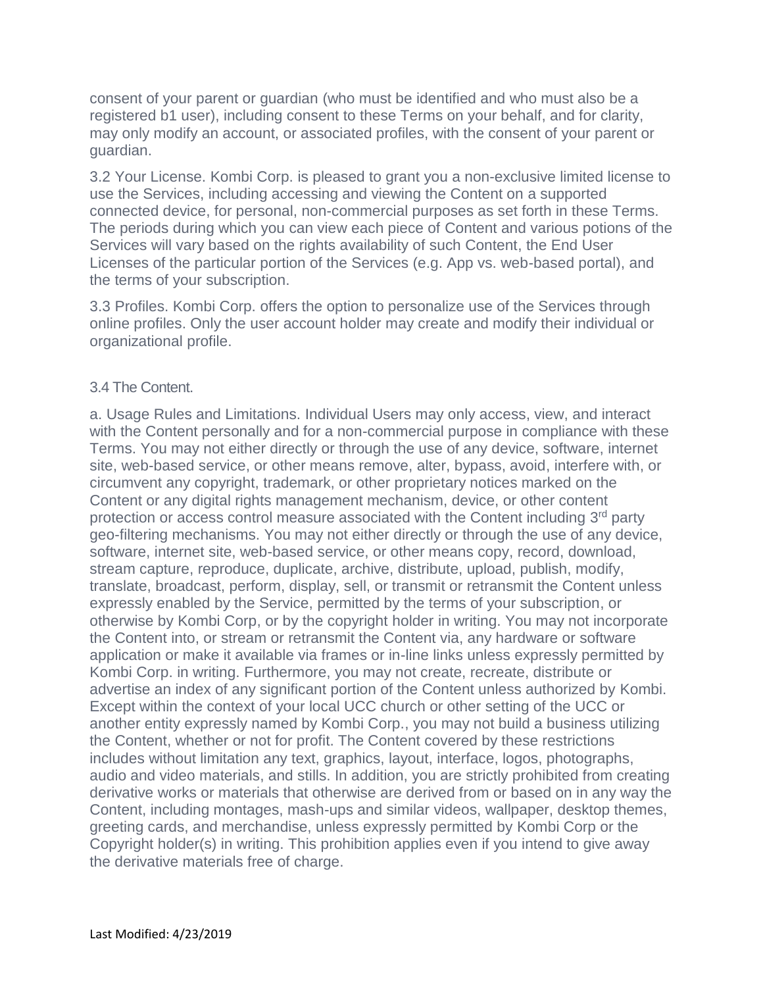consent of your parent or guardian (who must be identified and who must also be a registered b1 user), including consent to these Terms on your behalf, and for clarity, may only modify an account, or associated profiles, with the consent of your parent or guardian.

3.2 Your License. Kombi Corp. is pleased to grant you a non-exclusive limited license to use the Services, including accessing and viewing the Content on a supported connected device, for personal, non-commercial purposes as set forth in these Terms. The periods during which you can view each piece of Content and various potions of the Services will vary based on the rights availability of such Content, the End User Licenses of the particular portion of the Services (e.g. App vs. web-based portal), and the terms of your subscription.

3.3 Profiles. Kombi Corp. offers the option to personalize use of the Services through online profiles. Only the user account holder may create and modify their individual or organizational profile.

#### 3.4 The Content.

a. Usage Rules and Limitations. Individual Users may only access, view, and interact with the Content personally and for a non-commercial purpose in compliance with these Terms. You may not either directly or through the use of any device, software, internet site, web-based service, or other means remove, alter, bypass, avoid, interfere with, or circumvent any copyright, trademark, or other proprietary notices marked on the Content or any digital rights management mechanism, device, or other content protection or access control measure associated with the Content including 3<sup>rd</sup> party geo-filtering mechanisms. You may not either directly or through the use of any device, software, internet site, web-based service, or other means copy, record, download, stream capture, reproduce, duplicate, archive, distribute, upload, publish, modify, translate, broadcast, perform, display, sell, or transmit or retransmit the Content unless expressly enabled by the Service, permitted by the terms of your subscription, or otherwise by Kombi Corp, or by the copyright holder in writing. You may not incorporate the Content into, or stream or retransmit the Content via, any hardware or software application or make it available via frames or in-line links unless expressly permitted by Kombi Corp. in writing. Furthermore, you may not create, recreate, distribute or advertise an index of any significant portion of the Content unless authorized by Kombi. Except within the context of your local UCC church or other setting of the UCC or another entity expressly named by Kombi Corp., you may not build a business utilizing the Content, whether or not for profit. The Content covered by these restrictions includes without limitation any text, graphics, layout, interface, logos, photographs, audio and video materials, and stills. In addition, you are strictly prohibited from creating derivative works or materials that otherwise are derived from or based on in any way the Content, including montages, mash-ups and similar videos, wallpaper, desktop themes, greeting cards, and merchandise, unless expressly permitted by Kombi Corp or the Copyright holder(s) in writing. This prohibition applies even if you intend to give away the derivative materials free of charge.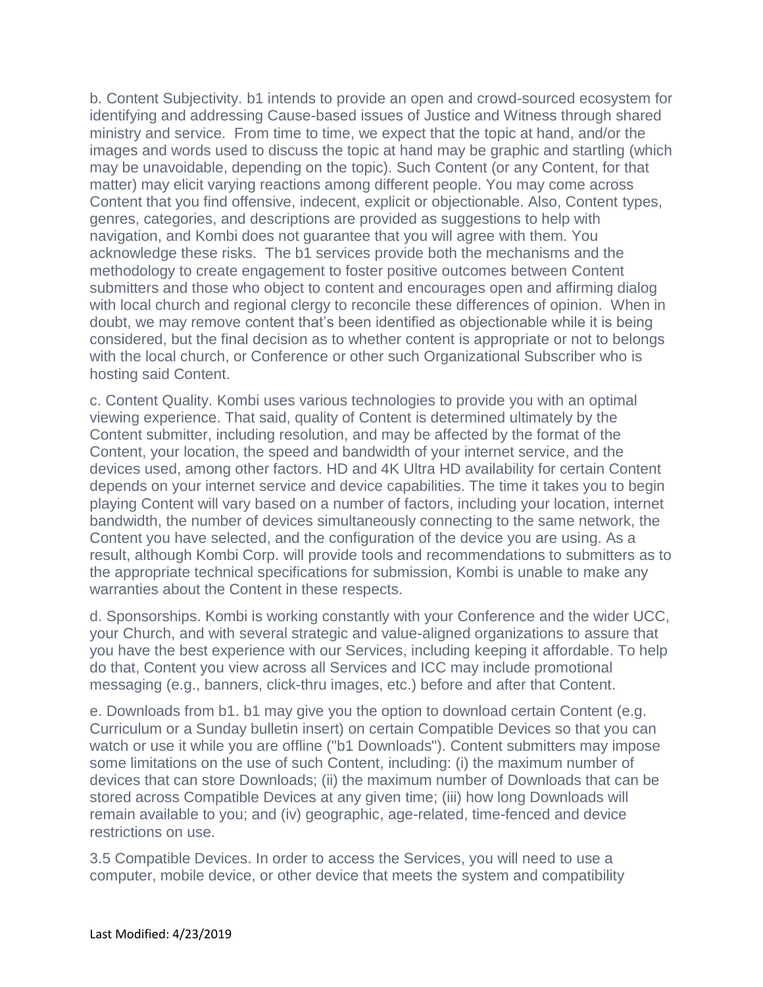b. Content Subjectivity. b1 intends to provide an open and crowd-sourced ecosystem for identifying and addressing Cause-based issues of Justice and Witness through shared ministry and service. From time to time, we expect that the topic at hand, and/or the images and words used to discuss the topic at hand may be graphic and startling (which may be unavoidable, depending on the topic). Such Content (or any Content, for that matter) may elicit varying reactions among different people. You may come across Content that you find offensive, indecent, explicit or objectionable. Also, Content types, genres, categories, and descriptions are provided as suggestions to help with navigation, and Kombi does not guarantee that you will agree with them. You acknowledge these risks. The b1 services provide both the mechanisms and the methodology to create engagement to foster positive outcomes between Content submitters and those who object to content and encourages open and affirming dialog with local church and regional clergy to reconcile these differences of opinion. When in doubt, we may remove content that's been identified as objectionable while it is being considered, but the final decision as to whether content is appropriate or not to belongs with the local church, or Conference or other such Organizational Subscriber who is hosting said Content.

c. Content Quality. Kombi uses various technologies to provide you with an optimal viewing experience. That said, quality of Content is determined ultimately by the Content submitter, including resolution, and may be affected by the format of the Content, your location, the speed and bandwidth of your internet service, and the devices used, among other factors. HD and 4K Ultra HD availability for certain Content depends on your internet service and device capabilities. The time it takes you to begin playing Content will vary based on a number of factors, including your location, internet bandwidth, the number of devices simultaneously connecting to the same network, the Content you have selected, and the configuration of the device you are using. As a result, although Kombi Corp. will provide tools and recommendations to submitters as to the appropriate technical specifications for submission, Kombi is unable to make any warranties about the Content in these respects.

d. Sponsorships. Kombi is working constantly with your Conference and the wider UCC, your Church, and with several strategic and value-aligned organizations to assure that you have the best experience with our Services, including keeping it affordable. To help do that, Content you view across all Services and ICC may include promotional messaging (e.g., banners, click-thru images, etc.) before and after that Content.

e. Downloads from b1. b1 may give you the option to download certain Content (e.g. Curriculum or a Sunday bulletin insert) on certain Compatible Devices so that you can watch or use it while you are offline ("b1 Downloads"). Content submitters may impose some limitations on the use of such Content, including: (i) the maximum number of devices that can store Downloads; (ii) the maximum number of Downloads that can be stored across Compatible Devices at any given time; (iii) how long Downloads will remain available to you; and (iv) geographic, age-related, time-fenced and device restrictions on use.

3.5 Compatible Devices. In order to access the Services, you will need to use a computer, mobile device, or other device that meets the system and compatibility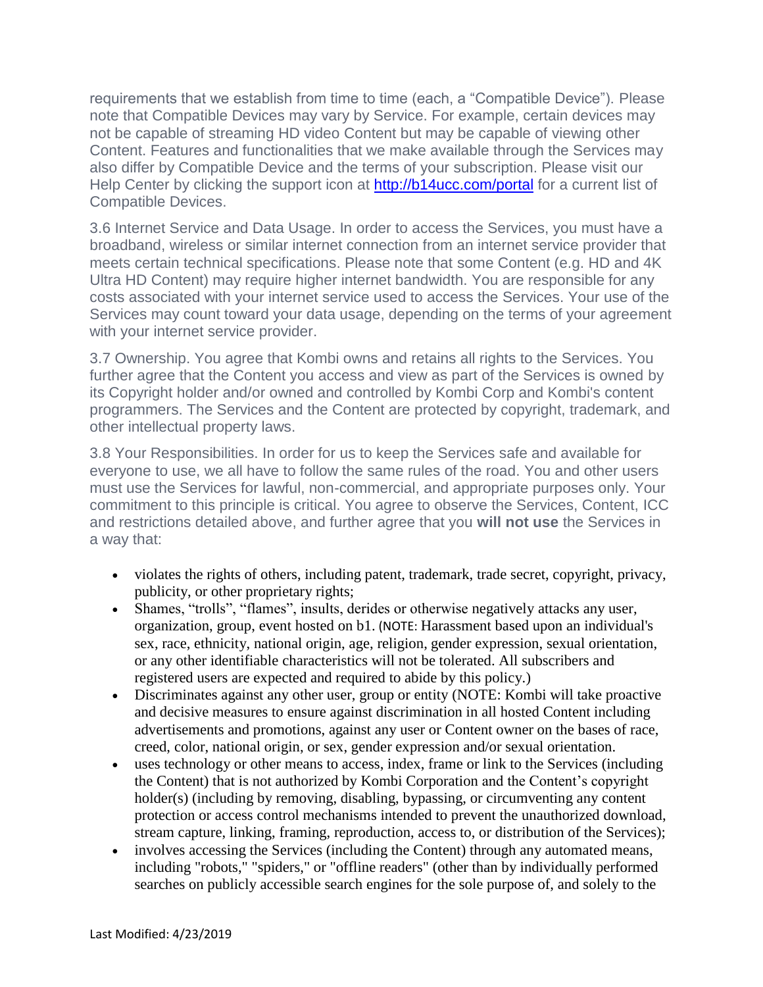requirements that we establish from time to time (each, a "Compatible Device"). Please note that Compatible Devices may vary by Service. For example, certain devices may not be capable of streaming HD video Content but may be capable of viewing other Content. Features and functionalities that we make available through the Services may also differ by Compatible Device and the terms of your subscription. Please visit our Help Center by clicking the support icon at<http://b14ucc.com/portal> for a current list of Compatible Devices.

3.6 Internet Service and Data Usage. In order to access the Services, you must have a broadband, wireless or similar internet connection from an internet service provider that meets certain technical specifications. Please note that some Content (e.g. HD and 4K Ultra HD Content) may require higher internet bandwidth. You are responsible for any costs associated with your internet service used to access the Services. Your use of the Services may count toward your data usage, depending on the terms of your agreement with your internet service provider.

3.7 Ownership. You agree that Kombi owns and retains all rights to the Services. You further agree that the Content you access and view as part of the Services is owned by its Copyright holder and/or owned and controlled by Kombi Corp and Kombi's content programmers. The Services and the Content are protected by copyright, trademark, and other intellectual property laws.

3.8 Your Responsibilities. In order for us to keep the Services safe and available for everyone to use, we all have to follow the same rules of the road. You and other users must use the Services for lawful, non-commercial, and appropriate purposes only. Your commitment to this principle is critical. You agree to observe the Services, Content, ICC and restrictions detailed above, and further agree that you **will not use** the Services in a way that:

- violates the rights of others, including patent, trademark, trade secret, copyright, privacy, publicity, or other proprietary rights;
- Shames, "trolls", "flames", insults, derides or otherwise negatively attacks any user, organization, group, event hosted on b1. (NOTE: Harassment based upon an individual's sex, race, ethnicity, national origin, age, religion, gender expression, sexual orientation, or any other identifiable characteristics will not be tolerated. All subscribers and registered users are expected and required to abide by this policy.)
- Discriminates against any other user, group or entity (NOTE: Kombi will take proactive and decisive measures to ensure against discrimination in all hosted Content including advertisements and promotions, against any user or Content owner on the bases of race, creed, color, national origin, or sex, gender expression and/or sexual orientation.
- uses technology or other means to access, index, frame or link to the Services (including the Content) that is not authorized by Kombi Corporation and the Content's copyright holder(s) (including by removing, disabling, bypassing, or circumventing any content protection or access control mechanisms intended to prevent the unauthorized download, stream capture, linking, framing, reproduction, access to, or distribution of the Services);
- involves accessing the Services (including the Content) through any automated means, including "robots," "spiders," or "offline readers" (other than by individually performed searches on publicly accessible search engines for the sole purpose of, and solely to the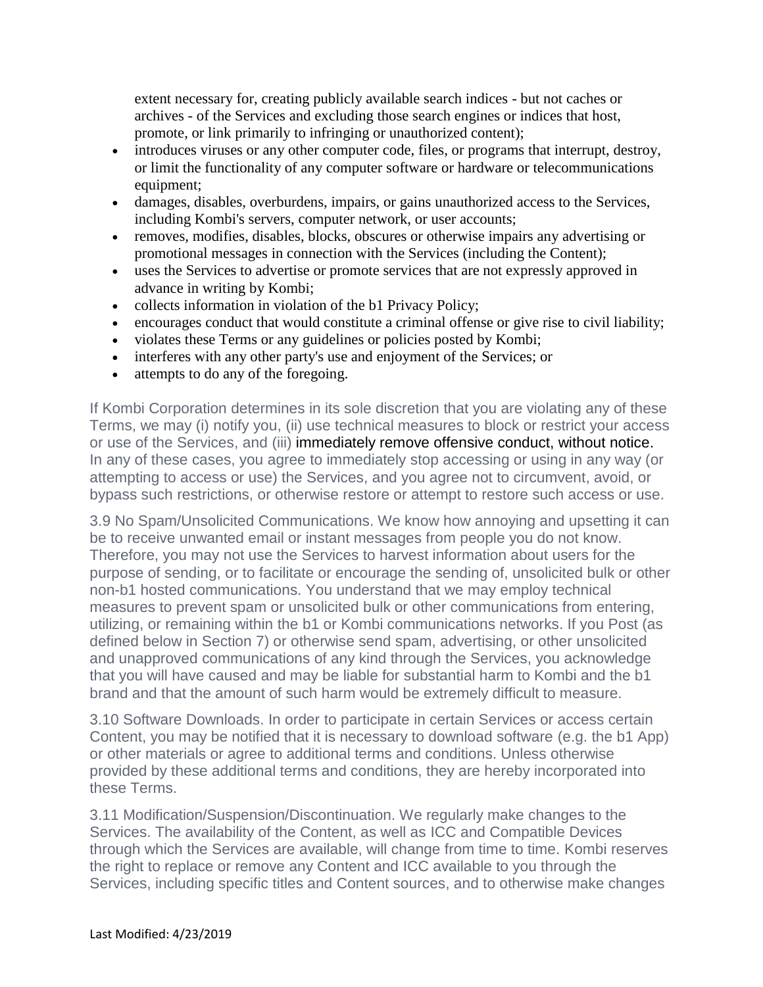extent necessary for, creating publicly available search indices - but not caches or archives - of the Services and excluding those search engines or indices that host, promote, or link primarily to infringing or unauthorized content);

- introduces viruses or any other computer code, files, or programs that interrupt, destroy, or limit the functionality of any computer software or hardware or telecommunications equipment;
- damages, disables, overburdens, impairs, or gains unauthorized access to the Services, including Kombi's servers, computer network, or user accounts;
- removes, modifies, disables, blocks, obscures or otherwise impairs any advertising or promotional messages in connection with the Services (including the Content);
- uses the Services to advertise or promote services that are not expressly approved in advance in writing by Kombi;
- collects information in violation of the b1 Privacy Policy;
- encourages conduct that would constitute a criminal offense or give rise to civil liability;
- violates these Terms or any guidelines or policies posted by Kombi;
- interferes with any other party's use and enjoyment of the Services; or
- attempts to do any of the foregoing.

If Kombi Corporation determines in its sole discretion that you are violating any of these Terms, we may (i) notify you, (ii) use technical measures to block or restrict your access or use of the Services, and (iii) immediately remove offensive conduct, without notice. In any of these cases, you agree to immediately stop accessing or using in any way (or attempting to access or use) the Services, and you agree not to circumvent, avoid, or bypass such restrictions, or otherwise restore or attempt to restore such access or use.

3.9 No Spam/Unsolicited Communications. We know how annoying and upsetting it can be to receive unwanted email or instant messages from people you do not know. Therefore, you may not use the Services to harvest information about users for the purpose of sending, or to facilitate or encourage the sending of, unsolicited bulk or other non-b1 hosted communications. You understand that we may employ technical measures to prevent spam or unsolicited bulk or other communications from entering, utilizing, or remaining within the b1 or Kombi communications networks. If you Post (as defined below in Section 7) or otherwise send spam, advertising, or other unsolicited and unapproved communications of any kind through the Services, you acknowledge that you will have caused and may be liable for substantial harm to Kombi and the b1 brand and that the amount of such harm would be extremely difficult to measure.

3.10 Software Downloads. In order to participate in certain Services or access certain Content, you may be notified that it is necessary to download software (e.g. the b1 App) or other materials or agree to additional terms and conditions. Unless otherwise provided by these additional terms and conditions, they are hereby incorporated into these Terms.

3.11 Modification/Suspension/Discontinuation. We regularly make changes to the Services. The availability of the Content, as well as ICC and Compatible Devices through which the Services are available, will change from time to time. Kombi reserves the right to replace or remove any Content and ICC available to you through the Services, including specific titles and Content sources, and to otherwise make changes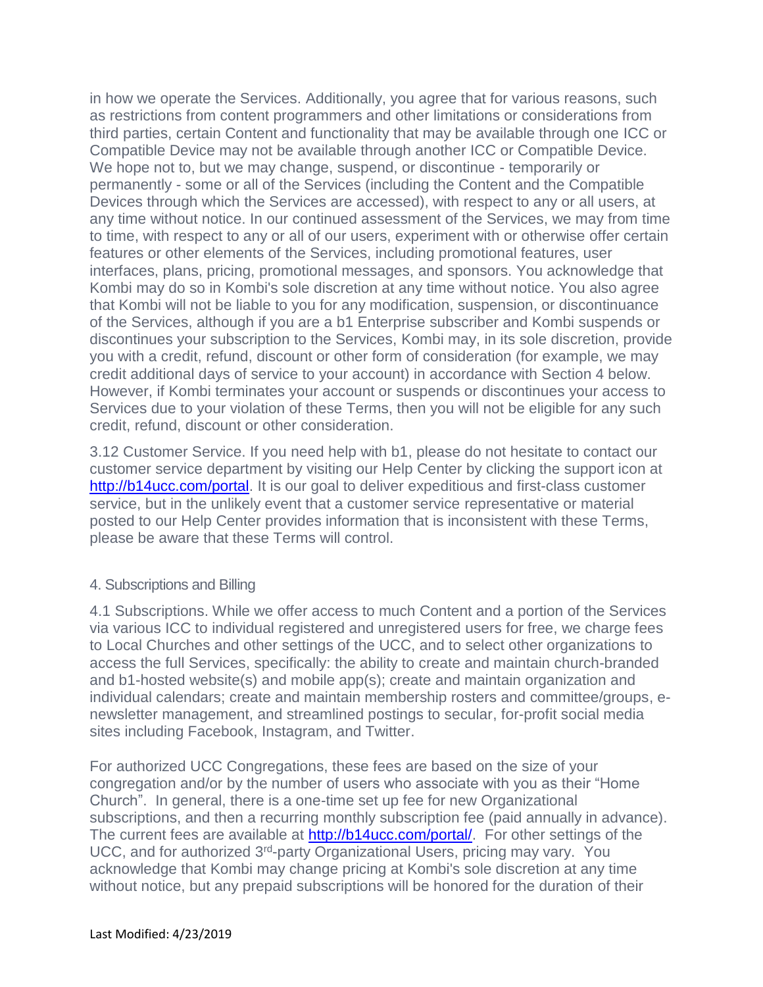in how we operate the Services. Additionally, you agree that for various reasons, such as restrictions from content programmers and other limitations or considerations from third parties, certain Content and functionality that may be available through one ICC or Compatible Device may not be available through another ICC or Compatible Device. We hope not to, but we may change, suspend, or discontinue - temporarily or permanently - some or all of the Services (including the Content and the Compatible Devices through which the Services are accessed), with respect to any or all users, at any time without notice. In our continued assessment of the Services, we may from time to time, with respect to any or all of our users, experiment with or otherwise offer certain features or other elements of the Services, including promotional features, user interfaces, plans, pricing, promotional messages, and sponsors. You acknowledge that Kombi may do so in Kombi's sole discretion at any time without notice. You also agree that Kombi will not be liable to you for any modification, suspension, or discontinuance of the Services, although if you are a b1 Enterprise subscriber and Kombi suspends or discontinues your subscription to the Services, Kombi may, in its sole discretion, provide you with a credit, refund, discount or other form of consideration (for example, we may credit additional days of service to your account) in accordance with Section 4 below. However, if Kombi terminates your account or suspends or discontinues your access to Services due to your violation of these Terms, then you will not be eligible for any such credit, refund, discount or other consideration.

3.12 Customer Service. If you need help with b1, please do not hesitate to contact our customer service department by visiting our Help Center by clicking the support icon at [http://b14ucc.com/portal.](http://b14ucc.com/portal) It is our goal to deliver expeditious and first-class customer service, but in the unlikely event that a customer service representative or material posted to our Help Center provides information that is inconsistent with these Terms, please be aware that these Terms will control.

#### 4. Subscriptions and Billing

4.1 Subscriptions. While we offer access to much Content and a portion of the Services via various ICC to individual registered and unregistered users for free, we charge fees to Local Churches and other settings of the UCC, and to select other organizations to access the full Services, specifically: the ability to create and maintain church-branded and b1-hosted website(s) and mobile app(s); create and maintain organization and individual calendars; create and maintain membership rosters and committee/groups, enewsletter management, and streamlined postings to secular, for-profit social media sites including Facebook, Instagram, and Twitter.

For authorized UCC Congregations, these fees are based on the size of your congregation and/or by the number of users who associate with you as their "Home Church". In general, there is a one-time set up fee for new Organizational subscriptions, and then a recurring monthly subscription fee (paid annually in advance). The current fees are available at [http://b14ucc.com/portal/.](http://b14ucc.com/portal/) For other settings of the UCC, and for authorized 3<sup>rd</sup>-party Organizational Users, pricing may vary. You acknowledge that Kombi may change pricing at Kombi's sole discretion at any time without notice, but any prepaid subscriptions will be honored for the duration of their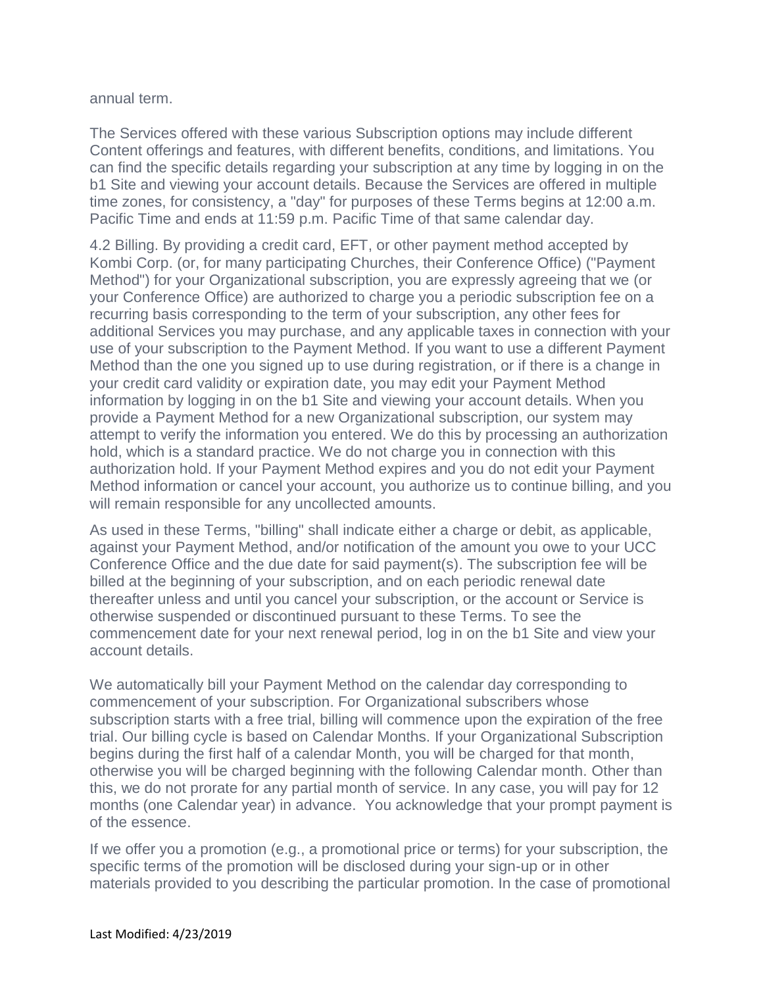annual term.

The Services offered with these various Subscription options may include different Content offerings and features, with different benefits, conditions, and limitations. You can find the specific details regarding your subscription at any time by logging in on the b1 Site and viewing your account details. Because the Services are offered in multiple time zones, for consistency, a "day" for purposes of these Terms begins at 12:00 a.m. Pacific Time and ends at 11:59 p.m. Pacific Time of that same calendar day.

4.2 Billing. By providing a credit card, EFT, or other payment method accepted by Kombi Corp. (or, for many participating Churches, their Conference Office) ("Payment Method") for your Organizational subscription, you are expressly agreeing that we (or your Conference Office) are authorized to charge you a periodic subscription fee on a recurring basis corresponding to the term of your subscription, any other fees for additional Services you may purchase, and any applicable taxes in connection with your use of your subscription to the Payment Method. If you want to use a different Payment Method than the one you signed up to use during registration, or if there is a change in your credit card validity or expiration date, you may edit your Payment Method information by logging in on the b1 Site and viewing your account details. When you provide a Payment Method for a new Organizational subscription, our system may attempt to verify the information you entered. We do this by processing an authorization hold, which is a standard practice. We do not charge you in connection with this authorization hold. If your Payment Method expires and you do not edit your Payment Method information or cancel your account, you authorize us to continue billing, and you will remain responsible for any uncollected amounts.

As used in these Terms, "billing" shall indicate either a charge or debit, as applicable, against your Payment Method, and/or notification of the amount you owe to your UCC Conference Office and the due date for said payment(s). The subscription fee will be billed at the beginning of your subscription, and on each periodic renewal date thereafter unless and until you cancel your subscription, or the account or Service is otherwise suspended or discontinued pursuant to these Terms. To see the commencement date for your next renewal period, log in on the b1 Site and view your account details.

We automatically bill your Payment Method on the calendar day corresponding to commencement of your subscription. For Organizational subscribers whose subscription starts with a free trial, billing will commence upon the expiration of the free trial. Our billing cycle is based on Calendar Months. If your Organizational Subscription begins during the first half of a calendar Month, you will be charged for that month, otherwise you will be charged beginning with the following Calendar month. Other than this, we do not prorate for any partial month of service. In any case, you will pay for 12 months (one Calendar year) in advance. You acknowledge that your prompt payment is of the essence.

If we offer you a promotion (e.g., a promotional price or terms) for your subscription, the specific terms of the promotion will be disclosed during your sign-up or in other materials provided to you describing the particular promotion. In the case of promotional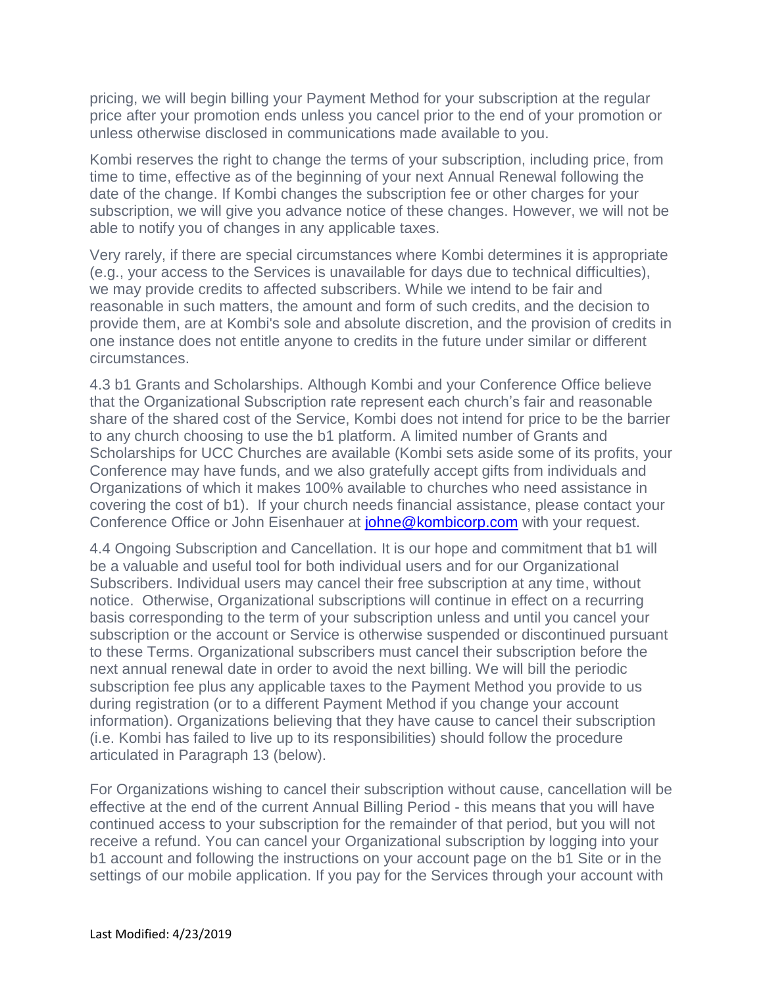pricing, we will begin billing your Payment Method for your subscription at the regular price after your promotion ends unless you cancel prior to the end of your promotion or unless otherwise disclosed in communications made available to you.

Kombi reserves the right to change the terms of your subscription, including price, from time to time, effective as of the beginning of your next Annual Renewal following the date of the change. If Kombi changes the subscription fee or other charges for your subscription, we will give you advance notice of these changes. However, we will not be able to notify you of changes in any applicable taxes.

Very rarely, if there are special circumstances where Kombi determines it is appropriate (e.g., your access to the Services is unavailable for days due to technical difficulties), we may provide credits to affected subscribers. While we intend to be fair and reasonable in such matters, the amount and form of such credits, and the decision to provide them, are at Kombi's sole and absolute discretion, and the provision of credits in one instance does not entitle anyone to credits in the future under similar or different circumstances.

4.3 b1 Grants and Scholarships. Although Kombi and your Conference Office believe that the Organizational Subscription rate represent each church's fair and reasonable share of the shared cost of the Service, Kombi does not intend for price to be the barrier to any church choosing to use the b1 platform. A limited number of Grants and Scholarships for UCC Churches are available (Kombi sets aside some of its profits, your Conference may have funds, and we also gratefully accept gifts from individuals and Organizations of which it makes 100% available to churches who need assistance in covering the cost of b1). If your church needs financial assistance, please contact your Conference Office or John Eisenhauer at *[johne@kombicorp.com](mailto:johne@kombicorp.com)* with your request.

4.4 Ongoing Subscription and Cancellation. It is our hope and commitment that b1 will be a valuable and useful tool for both individual users and for our Organizational Subscribers. Individual users may cancel their free subscription at any time, without notice. Otherwise, Organizational subscriptions will continue in effect on a recurring basis corresponding to the term of your subscription unless and until you cancel your subscription or the account or Service is otherwise suspended or discontinued pursuant to these Terms. Organizational subscribers must cancel their subscription before the next annual renewal date in order to avoid the next billing. We will bill the periodic subscription fee plus any applicable taxes to the Payment Method you provide to us during registration (or to a different Payment Method if you change your account information). Organizations believing that they have cause to cancel their subscription (i.e. Kombi has failed to live up to its responsibilities) should follow the procedure articulated in Paragraph 13 (below).

For Organizations wishing to cancel their subscription without cause, cancellation will be effective at the end of the current Annual Billing Period - this means that you will have continued access to your subscription for the remainder of that period, but you will not receive a refund. You can cancel your Organizational subscription by logging into your b1 account and following the instructions on your account page on the b1 Site or in the settings of our mobile application. If you pay for the Services through your account with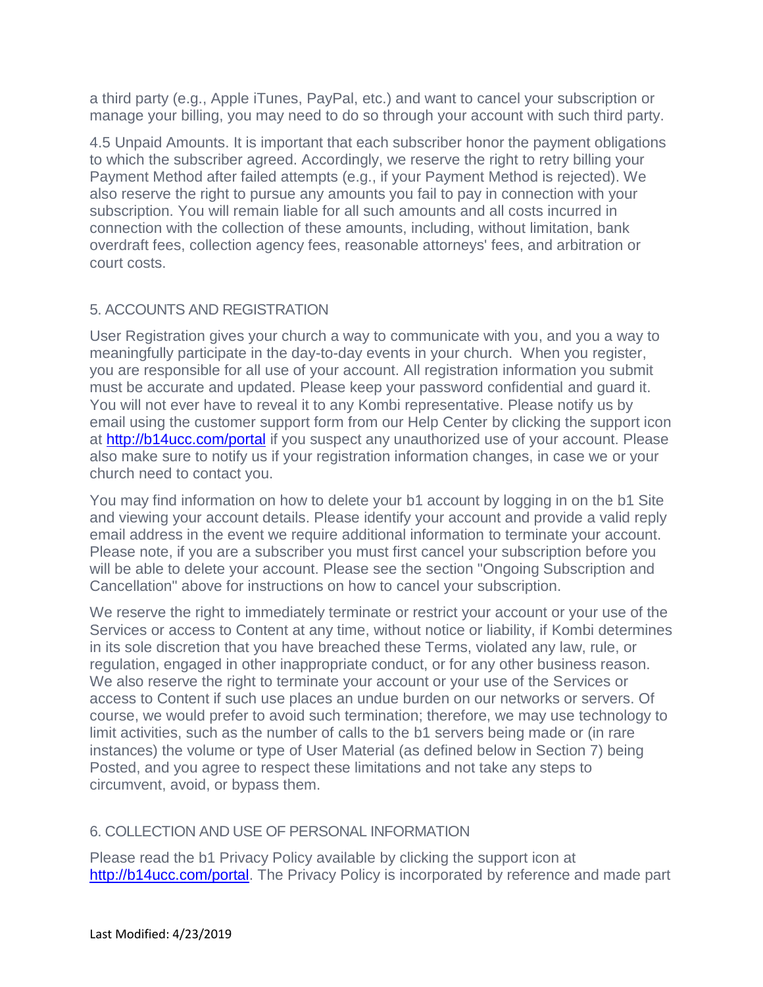a third party (e.g., Apple iTunes, PayPal, etc.) and want to cancel your subscription or manage your billing, you may need to do so through your account with such third party.

4.5 Unpaid Amounts. It is important that each subscriber honor the payment obligations to which the subscriber agreed. Accordingly, we reserve the right to retry billing your Payment Method after failed attempts (e.g., if your Payment Method is rejected). We also reserve the right to pursue any amounts you fail to pay in connection with your subscription. You will remain liable for all such amounts and all costs incurred in connection with the collection of these amounts, including, without limitation, bank overdraft fees, collection agency fees, reasonable attorneys' fees, and arbitration or court costs.

## 5. ACCOUNTS AND REGISTRATION

User Registration gives your church a way to communicate with you, and you a way to meaningfully participate in the day-to-day events in your church. When you register, you are responsible for all use of your account. All registration information you submit must be accurate and updated. Please keep your password confidential and guard it. You will not ever have to reveal it to any Kombi representative. Please notify us by email using the customer support form from our Help Center by clicking the support icon at<http://b14ucc.com/portal> if you suspect any unauthorized use of your account. Please also make sure to notify us if your registration information changes, in case we or your church need to contact you.

You may find information on how to delete your b1 account by logging in on the b1 Site and viewing your account details. Please identify your account and provide a valid reply email address in the event we require additional information to terminate your account. Please note, if you are a subscriber you must first cancel your subscription before you will be able to delete your account. Please see the section "Ongoing Subscription and Cancellation" above for instructions on how to cancel your subscription.

We reserve the right to immediately terminate or restrict your account or your use of the Services or access to Content at any time, without notice or liability, if Kombi determines in its sole discretion that you have breached these Terms, violated any law, rule, or regulation, engaged in other inappropriate conduct, or for any other business reason. We also reserve the right to terminate your account or your use of the Services or access to Content if such use places an undue burden on our networks or servers. Of course, we would prefer to avoid such termination; therefore, we may use technology to limit activities, such as the number of calls to the b1 servers being made or (in rare instances) the volume or type of User Material (as defined below in Section 7) being Posted, and you agree to respect these limitations and not take any steps to circumvent, avoid, or bypass them.

## 6. COLLECTION AND USE OF PERSONAL INFORMATION

Please read the b1 Privacy Policy available by clicking the support icon at [http://b14ucc.com/portal.](http://b14ucc.com/portal) The Privacy Policy is incorporated by reference and made part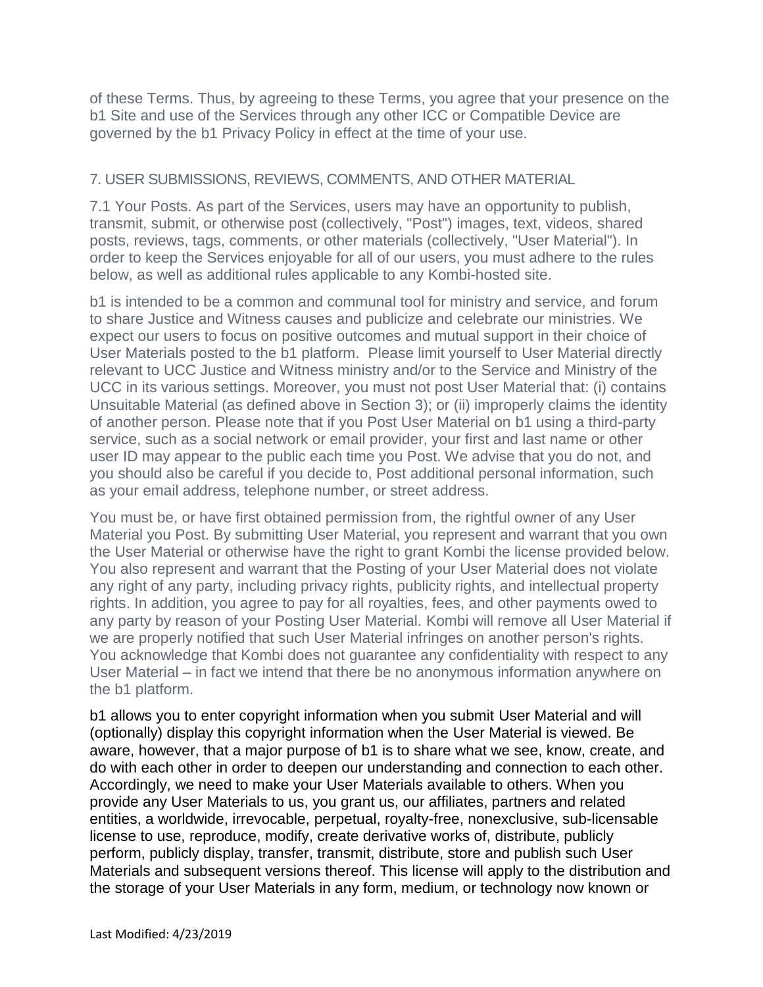of these Terms. Thus, by agreeing to these Terms, you agree that your presence on the b1 Site and use of the Services through any other ICC or Compatible Device are governed by the b1 Privacy Policy in effect at the time of your use.

#### 7. USER SUBMISSIONS, REVIEWS, COMMENTS, AND OTHER MATERIAL

7.1 Your Posts. As part of the Services, users may have an opportunity to publish, transmit, submit, or otherwise post (collectively, "Post") images, text, videos, shared posts, reviews, tags, comments, or other materials (collectively, "User Material"). In order to keep the Services enjoyable for all of our users, you must adhere to the rules below, as well as additional rules applicable to any Kombi-hosted site.

b1 is intended to be a common and communal tool for ministry and service, and forum to share Justice and Witness causes and publicize and celebrate our ministries. We expect our users to focus on positive outcomes and mutual support in their choice of User Materials posted to the b1 platform. Please limit yourself to User Material directly relevant to UCC Justice and Witness ministry and/or to the Service and Ministry of the UCC in its various settings. Moreover, you must not post User Material that: (i) contains Unsuitable Material (as defined above in Section 3); or (ii) improperly claims the identity of another person. Please note that if you Post User Material on b1 using a third-party service, such as a social network or email provider, your first and last name or other user ID may appear to the public each time you Post. We advise that you do not, and you should also be careful if you decide to, Post additional personal information, such as your email address, telephone number, or street address.

You must be, or have first obtained permission from, the rightful owner of any User Material you Post. By submitting User Material, you represent and warrant that you own the User Material or otherwise have the right to grant Kombi the license provided below. You also represent and warrant that the Posting of your User Material does not violate any right of any party, including privacy rights, publicity rights, and intellectual property rights. In addition, you agree to pay for all royalties, fees, and other payments owed to any party by reason of your Posting User Material. Kombi will remove all User Material if we are properly notified that such User Material infringes on another person's rights. You acknowledge that Kombi does not guarantee any confidentiality with respect to any User Material – in fact we intend that there be no anonymous information anywhere on the b1 platform.

b1 allows you to enter copyright information when you submit User Material and will (optionally) display this copyright information when the User Material is viewed. Be aware, however, that a major purpose of b1 is to share what we see, know, create, and do with each other in order to deepen our understanding and connection to each other. Accordingly, we need to make your User Materials available to others. When you provide any User Materials to us, you grant us, our affiliates, partners and related entities, a worldwide, irrevocable, perpetual, royalty-free, nonexclusive, sub-licensable license to use, reproduce, modify, create derivative works of, distribute, publicly perform, publicly display, transfer, transmit, distribute, store and publish such User Materials and subsequent versions thereof. This license will apply to the distribution and the storage of your User Materials in any form, medium, or technology now known or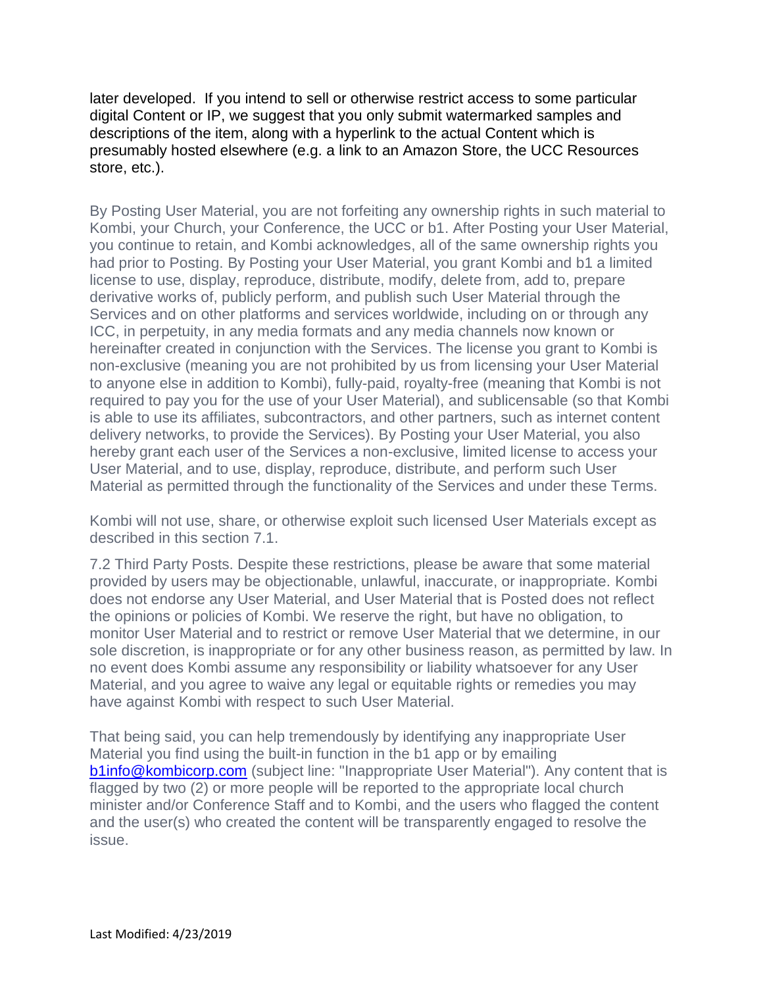later developed. If you intend to sell or otherwise restrict access to some particular digital Content or IP, we suggest that you only submit watermarked samples and descriptions of the item, along with a hyperlink to the actual Content which is presumably hosted elsewhere (e.g. a link to an Amazon Store, the UCC Resources store, etc.).

By Posting User Material, you are not forfeiting any ownership rights in such material to Kombi, your Church, your Conference, the UCC or b1. After Posting your User Material, you continue to retain, and Kombi acknowledges, all of the same ownership rights you had prior to Posting. By Posting your User Material, you grant Kombi and b1 a limited license to use, display, reproduce, distribute, modify, delete from, add to, prepare derivative works of, publicly perform, and publish such User Material through the Services and on other platforms and services worldwide, including on or through any ICC, in perpetuity, in any media formats and any media channels now known or hereinafter created in conjunction with the Services. The license you grant to Kombi is non-exclusive (meaning you are not prohibited by us from licensing your User Material to anyone else in addition to Kombi), fully-paid, royalty-free (meaning that Kombi is not required to pay you for the use of your User Material), and sublicensable (so that Kombi is able to use its affiliates, subcontractors, and other partners, such as internet content delivery networks, to provide the Services). By Posting your User Material, you also hereby grant each user of the Services a non-exclusive, limited license to access your User Material, and to use, display, reproduce, distribute, and perform such User Material as permitted through the functionality of the Services and under these Terms.

Kombi will not use, share, or otherwise exploit such licensed User Materials except as described in this section 7.1.

7.2 Third Party Posts. Despite these restrictions, please be aware that some material provided by users may be objectionable, unlawful, inaccurate, or inappropriate. Kombi does not endorse any User Material, and User Material that is Posted does not reflect the opinions or policies of Kombi. We reserve the right, but have no obligation, to monitor User Material and to restrict or remove User Material that we determine, in our sole discretion, is inappropriate or for any other business reason, as permitted by law. In no event does Kombi assume any responsibility or liability whatsoever for any User Material, and you agree to waive any legal or equitable rights or remedies you may have against Kombi with respect to such User Material.

That being said, you can help tremendously by identifying any inappropriate User Material you find using the built-in function in the b1 app or by emailing [b1info@kombicorp.com](mailto:b1info@kombicorp.com) (subject line: "Inappropriate User Material"). Any content that is flagged by two (2) or more people will be reported to the appropriate local church minister and/or Conference Staff and to Kombi, and the users who flagged the content and the user(s) who created the content will be transparently engaged to resolve the issue.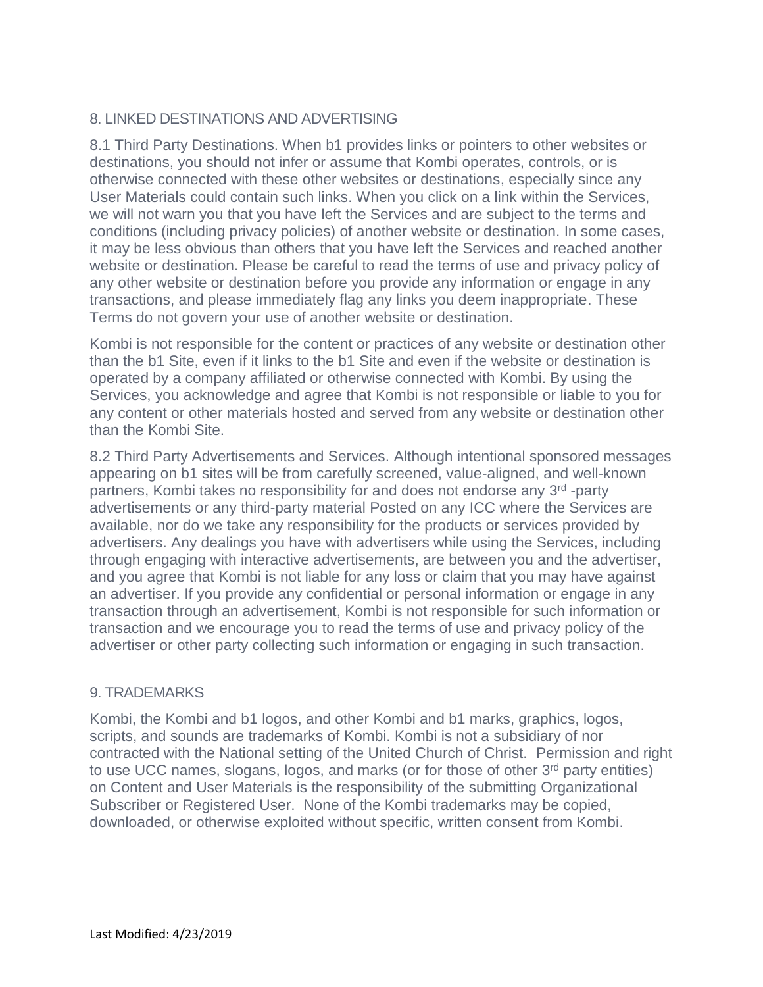## 8. LINKED DESTINATIONS AND ADVERTISING

8.1 Third Party Destinations. When b1 provides links or pointers to other websites or destinations, you should not infer or assume that Kombi operates, controls, or is otherwise connected with these other websites or destinations, especially since any User Materials could contain such links. When you click on a link within the Services, we will not warn you that you have left the Services and are subject to the terms and conditions (including privacy policies) of another website or destination. In some cases, it may be less obvious than others that you have left the Services and reached another website or destination. Please be careful to read the terms of use and privacy policy of any other website or destination before you provide any information or engage in any transactions, and please immediately flag any links you deem inappropriate. These Terms do not govern your use of another website or destination.

Kombi is not responsible for the content or practices of any website or destination other than the b1 Site, even if it links to the b1 Site and even if the website or destination is operated by a company affiliated or otherwise connected with Kombi. By using the Services, you acknowledge and agree that Kombi is not responsible or liable to you for any content or other materials hosted and served from any website or destination other than the Kombi Site.

8.2 Third Party Advertisements and Services. Although intentional sponsored messages appearing on b1 sites will be from carefully screened, value-aligned, and well-known partners, Kombi takes no responsibility for and does not endorse any 3<sup>rd</sup> -party advertisements or any third-party material Posted on any ICC where the Services are available, nor do we take any responsibility for the products or services provided by advertisers. Any dealings you have with advertisers while using the Services, including through engaging with interactive advertisements, are between you and the advertiser, and you agree that Kombi is not liable for any loss or claim that you may have against an advertiser. If you provide any confidential or personal information or engage in any transaction through an advertisement, Kombi is not responsible for such information or transaction and we encourage you to read the terms of use and privacy policy of the advertiser or other party collecting such information or engaging in such transaction.

#### 9. TRADEMARKS

Kombi, the Kombi and b1 logos, and other Kombi and b1 marks, graphics, logos, scripts, and sounds are trademarks of Kombi. Kombi is not a subsidiary of nor contracted with the National setting of the United Church of Christ. Permission and right to use UCC names, slogans, logos, and marks (or for those of other 3<sup>rd</sup> party entities) on Content and User Materials is the responsibility of the submitting Organizational Subscriber or Registered User. None of the Kombi trademarks may be copied, downloaded, or otherwise exploited without specific, written consent from Kombi.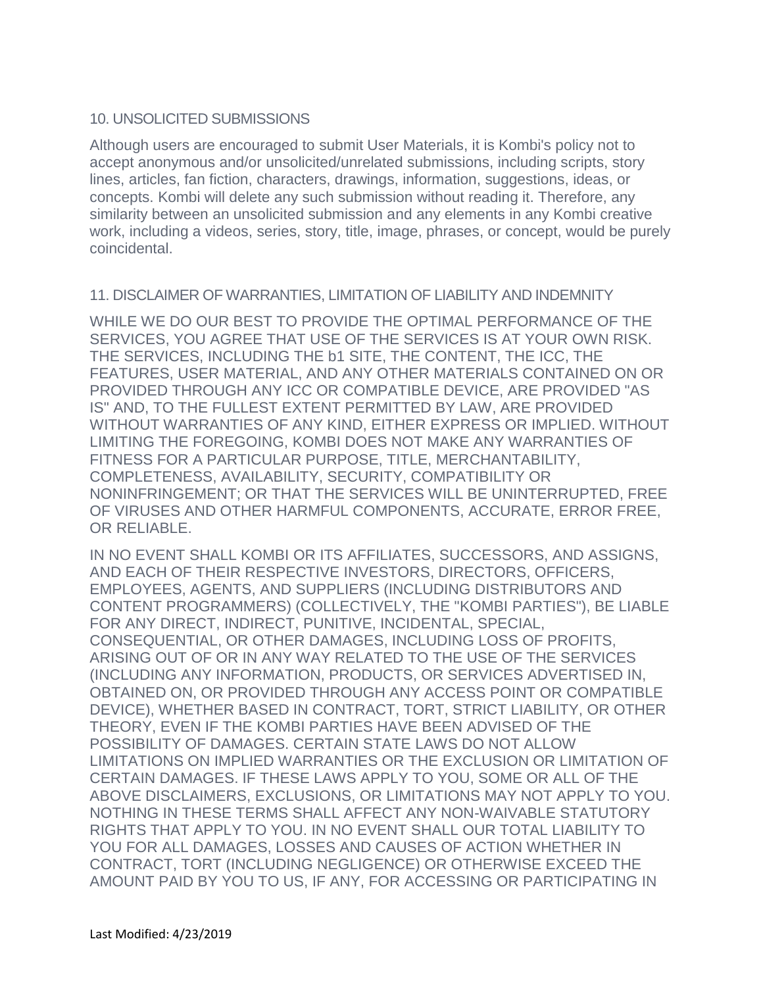#### 10. UNSOLICITED SUBMISSIONS

Although users are encouraged to submit User Materials, it is Kombi's policy not to accept anonymous and/or unsolicited/unrelated submissions, including scripts, story lines, articles, fan fiction, characters, drawings, information, suggestions, ideas, or concepts. Kombi will delete any such submission without reading it. Therefore, any similarity between an unsolicited submission and any elements in any Kombi creative work, including a videos, series, story, title, image, phrases, or concept, would be purely coincidental.

#### 11. DISCLAIMER OF WARRANTIES, LIMITATION OF LIABILITY AND INDEMNITY

WHILE WE DO OUR BEST TO PROVIDE THE OPTIMAL PERFORMANCE OF THE SERVICES, YOU AGREE THAT USE OF THE SERVICES IS AT YOUR OWN RISK. THE SERVICES, INCLUDING THE b1 SITE, THE CONTENT, THE ICC, THE FEATURES, USER MATERIAL, AND ANY OTHER MATERIALS CONTAINED ON OR PROVIDED THROUGH ANY ICC OR COMPATIBLE DEVICE, ARE PROVIDED "AS IS" AND, TO THE FULLEST EXTENT PERMITTED BY LAW, ARE PROVIDED WITHOUT WARRANTIES OF ANY KIND, EITHER EXPRESS OR IMPLIED. WITHOUT LIMITING THE FOREGOING, KOMBI DOES NOT MAKE ANY WARRANTIES OF FITNESS FOR A PARTICULAR PURPOSE, TITLE, MERCHANTABILITY, COMPLETENESS, AVAILABILITY, SECURITY, COMPATIBILITY OR NONINFRINGEMENT; OR THAT THE SERVICES WILL BE UNINTERRUPTED, FREE OF VIRUSES AND OTHER HARMFUL COMPONENTS, ACCURATE, ERROR FREE, OR RELIABLE.

IN NO EVENT SHALL KOMBI OR ITS AFFILIATES, SUCCESSORS, AND ASSIGNS, AND EACH OF THEIR RESPECTIVE INVESTORS, DIRECTORS, OFFICERS, EMPLOYEES, AGENTS, AND SUPPLIERS (INCLUDING DISTRIBUTORS AND CONTENT PROGRAMMERS) (COLLECTIVELY, THE "KOMBI PARTIES"), BE LIABLE FOR ANY DIRECT, INDIRECT, PUNITIVE, INCIDENTAL, SPECIAL, CONSEQUENTIAL, OR OTHER DAMAGES, INCLUDING LOSS OF PROFITS, ARISING OUT OF OR IN ANY WAY RELATED TO THE USE OF THE SERVICES (INCLUDING ANY INFORMATION, PRODUCTS, OR SERVICES ADVERTISED IN, OBTAINED ON, OR PROVIDED THROUGH ANY ACCESS POINT OR COMPATIBLE DEVICE), WHETHER BASED IN CONTRACT, TORT, STRICT LIABILITY, OR OTHER THEORY, EVEN IF THE KOMBI PARTIES HAVE BEEN ADVISED OF THE POSSIBILITY OF DAMAGES. CERTAIN STATE LAWS DO NOT ALLOW LIMITATIONS ON IMPLIED WARRANTIES OR THE EXCLUSION OR LIMITATION OF CERTAIN DAMAGES. IF THESE LAWS APPLY TO YOU, SOME OR ALL OF THE ABOVE DISCLAIMERS, EXCLUSIONS, OR LIMITATIONS MAY NOT APPLY TO YOU. NOTHING IN THESE TERMS SHALL AFFECT ANY NON-WAIVABLE STATUTORY RIGHTS THAT APPLY TO YOU. IN NO EVENT SHALL OUR TOTAL LIABILITY TO YOU FOR ALL DAMAGES, LOSSES AND CAUSES OF ACTION WHETHER IN CONTRACT, TORT (INCLUDING NEGLIGENCE) OR OTHERWISE EXCEED THE AMOUNT PAID BY YOU TO US, IF ANY, FOR ACCESSING OR PARTICIPATING IN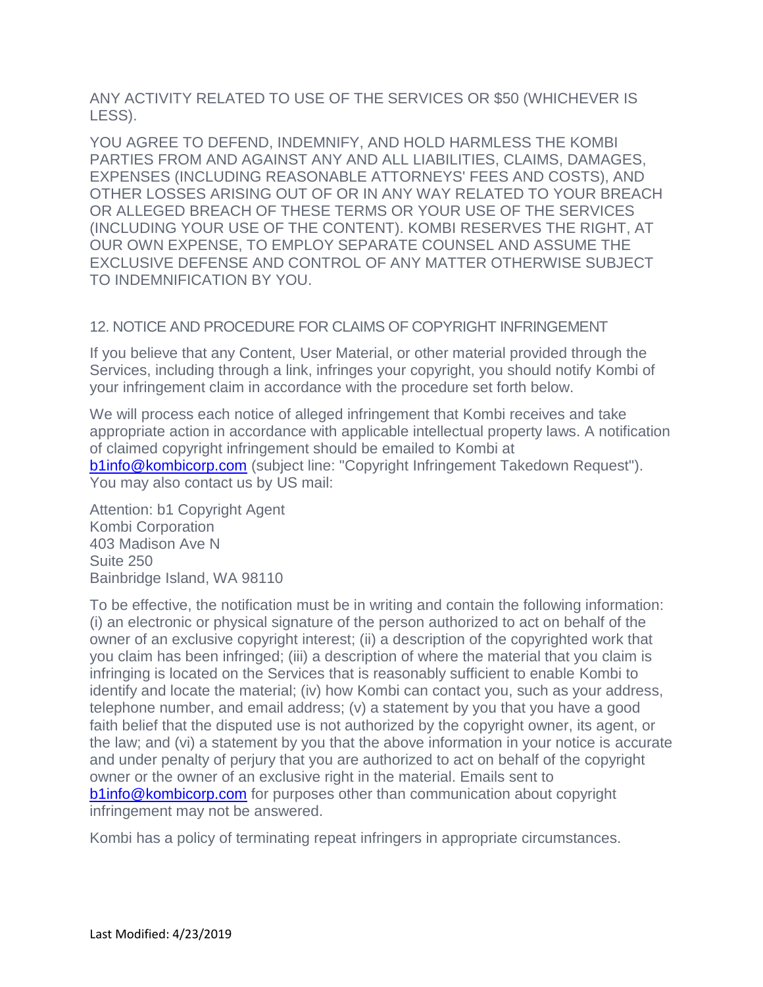ANY ACTIVITY RELATED TO USE OF THE SERVICES OR \$50 (WHICHEVER IS LESS).

YOU AGREE TO DEFEND, INDEMNIFY, AND HOLD HARMLESS THE KOMBI PARTIES FROM AND AGAINST ANY AND ALL LIABILITIES, CLAIMS, DAMAGES, EXPENSES (INCLUDING REASONABLE ATTORNEYS' FEES AND COSTS), AND OTHER LOSSES ARISING OUT OF OR IN ANY WAY RELATED TO YOUR BREACH OR ALLEGED BREACH OF THESE TERMS OR YOUR USE OF THE SERVICES (INCLUDING YOUR USE OF THE CONTENT). KOMBI RESERVES THE RIGHT, AT OUR OWN EXPENSE, TO EMPLOY SEPARATE COUNSEL AND ASSUME THE EXCLUSIVE DEFENSE AND CONTROL OF ANY MATTER OTHERWISE SUBJECT TO INDEMNIFICATION BY YOU.

## 12. NOTICE AND PROCEDURE FOR CLAIMS OF COPYRIGHT INFRINGEMENT

If you believe that any Content, User Material, or other material provided through the Services, including through a link, infringes your copyright, you should notify Kombi of your infringement claim in accordance with the procedure set forth below.

We will process each notice of alleged infringement that Kombi receives and take appropriate action in accordance with applicable intellectual property laws. A notification of claimed copyright infringement should be emailed to Kombi at **[b1info@kombicorp.com](mailto:b1info@kombicorp.com)** (subject line: "Copyright Infringement Takedown Request"). You may also contact us by US mail:

Attention: b1 Copyright Agent Kombi Corporation 403 Madison Ave N Suite 250 Bainbridge Island, WA 98110

To be effective, the notification must be in writing and contain the following information: (i) an electronic or physical signature of the person authorized to act on behalf of the owner of an exclusive copyright interest; (ii) a description of the copyrighted work that you claim has been infringed; (iii) a description of where the material that you claim is infringing is located on the Services that is reasonably sufficient to enable Kombi to identify and locate the material; (iv) how Kombi can contact you, such as your address, telephone number, and email address; (v) a statement by you that you have a good faith belief that the disputed use is not authorized by the copyright owner, its agent, or the law; and (vi) a statement by you that the above information in your notice is accurate and under penalty of perjury that you are authorized to act on behalf of the copyright owner or the owner of an exclusive right in the material. Emails sent to **[b1info@kombicorp.com](mailto:b1info@kombicorp.com)** for purposes other than communication about copyright infringement may not be answered.

Kombi has a policy of terminating repeat infringers in appropriate circumstances.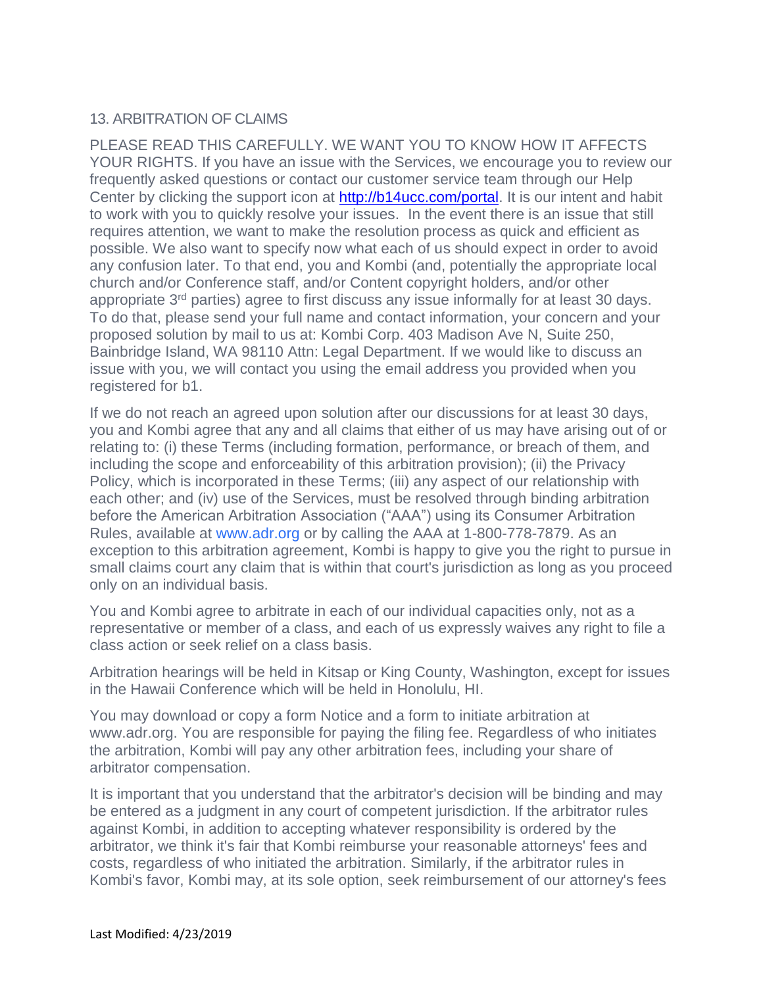## 13. ARBITRATION OF CLAIMS

PLEASE READ THIS CAREFULLY. WE WANT YOU TO KNOW HOW IT AFFECTS YOUR RIGHTS. If you have an issue with the Services, we encourage you to review our frequently asked questions or contact our customer service team through our Help Center by clicking the support icon at [http://b14ucc.com/portal.](http://b14ucc.com/portal) It is our intent and habit to work with you to quickly resolve your issues. In the event there is an issue that still requires attention, we want to make the resolution process as quick and efficient as possible. We also want to specify now what each of us should expect in order to avoid any confusion later. To that end, you and Kombi (and, potentially the appropriate local church and/or Conference staff, and/or Content copyright holders, and/or other appropriate 3<sup>rd</sup> parties) agree to first discuss any issue informally for at least 30 days. To do that, please send your full name and contact information, your concern and your proposed solution by mail to us at: Kombi Corp. 403 Madison Ave N, Suite 250, Bainbridge Island, WA 98110 Attn: Legal Department. If we would like to discuss an issue with you, we will contact you using the email address you provided when you registered for b1.

If we do not reach an agreed upon solution after our discussions for at least 30 days, you and Kombi agree that any and all claims that either of us may have arising out of or relating to: (i) these Terms (including formation, performance, or breach of them, and including the scope and enforceability of this arbitration provision); (ii) the Privacy Policy, which is incorporated in these Terms; (iii) any aspect of our relationship with each other; and (iv) use of the Services, must be resolved through binding arbitration before the American Arbitration Association ("AAA") using its Consumer Arbitration Rules, available at [www.adr.org](https://www.adr.org/) or by calling the AAA at 1-800-778-7879. As an exception to this arbitration agreement, Kombi is happy to give you the right to pursue in small claims court any claim that is within that court's jurisdiction as long as you proceed only on an individual basis.

You and Kombi agree to arbitrate in each of our individual capacities only, not as a representative or member of a class, and each of us expressly waives any right to file a class action or seek relief on a class basis.

Arbitration hearings will be held in Kitsap or King County, Washington, except for issues in the Hawaii Conference which will be held in Honolulu, HI.

You may download or copy a form Notice and a form to initiate arbitration at www.adr.org. You are responsible for paying the filing fee. Regardless of who initiates the arbitration, Kombi will pay any other arbitration fees, including your share of arbitrator compensation.

It is important that you understand that the arbitrator's decision will be binding and may be entered as a judgment in any court of competent jurisdiction. If the arbitrator rules against Kombi, in addition to accepting whatever responsibility is ordered by the arbitrator, we think it's fair that Kombi reimburse your reasonable attorneys' fees and costs, regardless of who initiated the arbitration. Similarly, if the arbitrator rules in Kombi's favor, Kombi may, at its sole option, seek reimbursement of our attorney's fees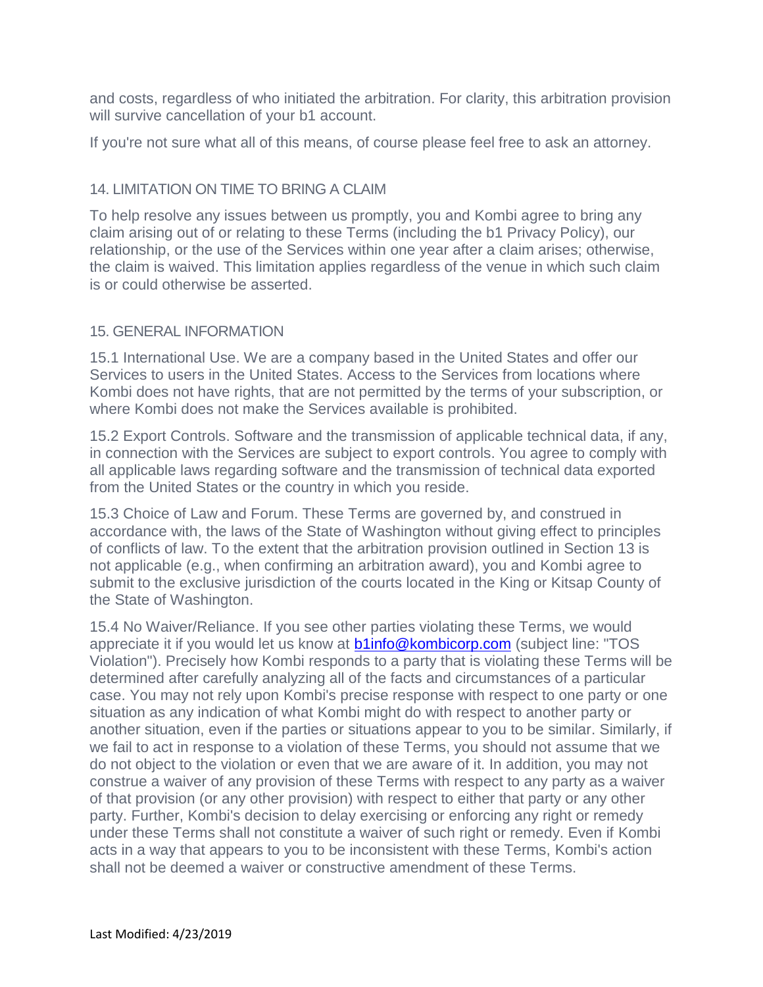and costs, regardless of who initiated the arbitration. For clarity, this arbitration provision will survive cancellation of your b1 account.

If you're not sure what all of this means, of course please feel free to ask an attorney.

#### 14. LIMITATION ON TIME TO BRING A CLAIM

To help resolve any issues between us promptly, you and Kombi agree to bring any claim arising out of or relating to these Terms (including the b1 Privacy Policy), our relationship, or the use of the Services within one year after a claim arises; otherwise, the claim is waived. This limitation applies regardless of the venue in which such claim is or could otherwise be asserted.

#### 15. GENERAL INFORMATION

15.1 International Use. We are a company based in the United States and offer our Services to users in the United States. Access to the Services from locations where Kombi does not have rights, that are not permitted by the terms of your subscription, or where Kombi does not make the Services available is prohibited.

15.2 Export Controls. Software and the transmission of applicable technical data, if any, in connection with the Services are subject to export controls. You agree to comply with all applicable laws regarding software and the transmission of technical data exported from the United States or the country in which you reside.

15.3 Choice of Law and Forum. These Terms are governed by, and construed in accordance with, the laws of the State of Washington without giving effect to principles of conflicts of law. To the extent that the arbitration provision outlined in Section 13 is not applicable (e.g., when confirming an arbitration award), you and Kombi agree to submit to the exclusive jurisdiction of the courts located in the King or Kitsap County of the State of Washington.

15.4 No Waiver/Reliance. If you see other parties violating these Terms, we would appreciate it if you would let us know at **b1info@kombicorp.com** (subject line: "TOS Violation"). Precisely how Kombi responds to a party that is violating these Terms will be determined after carefully analyzing all of the facts and circumstances of a particular case. You may not rely upon Kombi's precise response with respect to one party or one situation as any indication of what Kombi might do with respect to another party or another situation, even if the parties or situations appear to you to be similar. Similarly, if we fail to act in response to a violation of these Terms, you should not assume that we do not object to the violation or even that we are aware of it. In addition, you may not construe a waiver of any provision of these Terms with respect to any party as a waiver of that provision (or any other provision) with respect to either that party or any other party. Further, Kombi's decision to delay exercising or enforcing any right or remedy under these Terms shall not constitute a waiver of such right or remedy. Even if Kombi acts in a way that appears to you to be inconsistent with these Terms, Kombi's action shall not be deemed a waiver or constructive amendment of these Terms.